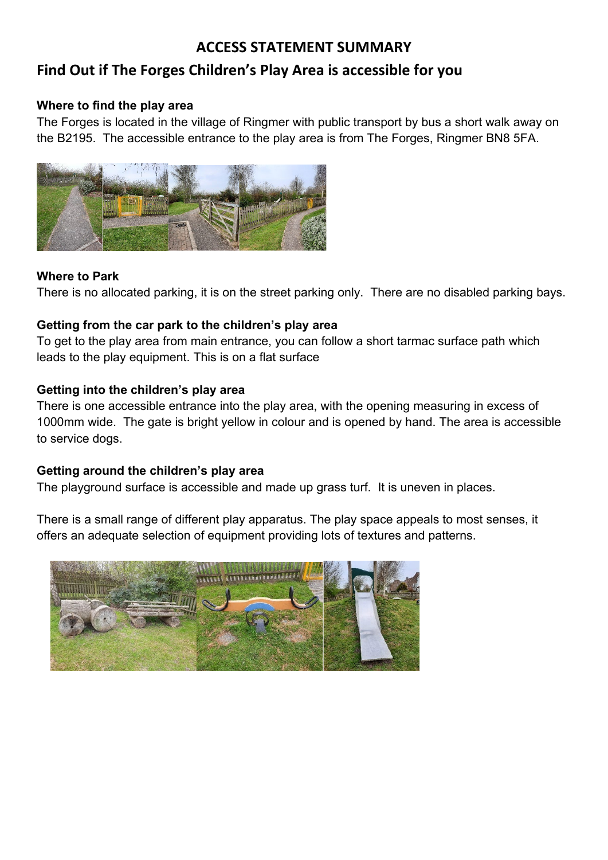## **ACCESS STATEMENT SUMMARY**

## **Find Out if The Forges Children's Play Area is accessible for you**

#### **Where to find the play area**

The Forges is located in the village of Ringmer with public transport by bus a short walk away on the B2195. The accessible entrance to the play area is from The Forges, Ringmer BN8 5FA.



#### **Where to Park**

There is no allocated parking, it is on the street parking only. There are no disabled parking bays.

#### **Getting from the car park to the children's play area**

 leads to the play equipment. This is on a flat surface To get to the play area from main entrance, you can follow a short tarmac surface path which

#### **Getting into the children's play area**

There is one accessible entrance into the play area, with the opening measuring in excess of 1000mm wide. The gate is bright yellow in colour and is opened by hand. The area is accessible to service dogs.

### **Getting around the children's play area**

The playground surface is accessible and made up grass turf. It is uneven in places.

There is a small range of different play apparatus. The play space appeals to most senses, it offers an adequate selection of equipment providing lots of textures and patterns.